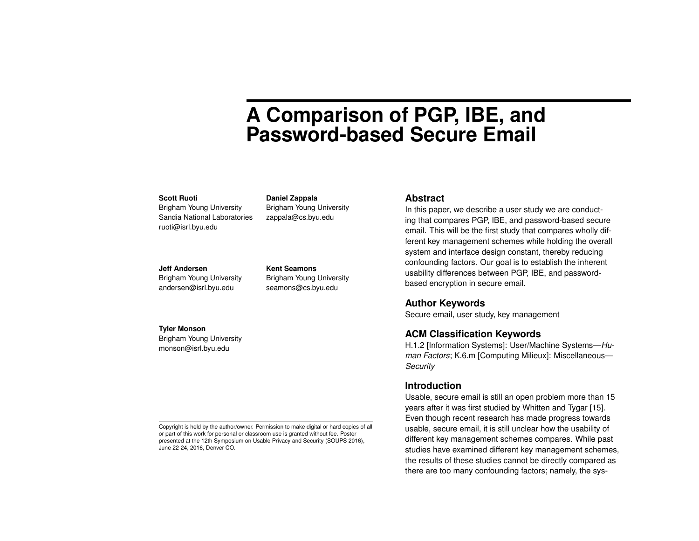# **A Comparison of PGP, IBE, and Password-based Secure Email**

#### **Scott Ruoti**

Brigham Young University Sandia National Laboratories ruoti@isrl.byu.edu

#### **Jeff Andersen**

**Tyler Monson**

Brigham Young University andersen@isrl.byu.edu

Brigham Young University monson@isrl.byu.edu

**Kent Seamons** Brigham Young University seamons@cs.byu.edu

Brigham Young University zappala@cs.byu.edu

**Daniel Zappala**

#### **Abstract**

In this paper, we describe a user study we are conducting that compares PGP, IBE, and password-based secure email. This will be the first study that compares wholly different key management schemes while holding the overall system and interface design constant, thereby reducing confounding factors. Our goal is to establish the inherent usability differences between PGP, IBE, and passwordbased encryption in secure email.

### **Author Keywords**

Secure email, user study, key management

#### **ACM Classification Keywords**

H.1.2 [Information Systems]: User/Machine Systems—*Human Factors*; K.6.m [Computing Milieux]: Miscellaneous— *Security*

#### **Introduction**

Usable, secure email is still an open problem more than 15 years after it was first studied by Whitten and Tygar [\[15\]](#page-4-0). Even though recent research has made progress towards usable, secure email, it is still unclear how the usability of different key management schemes compares. While past studies have examined different key management schemes, the results of these studies cannot be directly compared as there are too many confounding factors; namely, the sys-

Copyright is held by the author/owner. Permission to make digital or hard copies of all or part of this work for personal or classroom use is granted without fee. Poster presented at the 12th Symposium on Usable Privacy and Security (SOUPS 2016), June 22-24, 2016, Denver CO.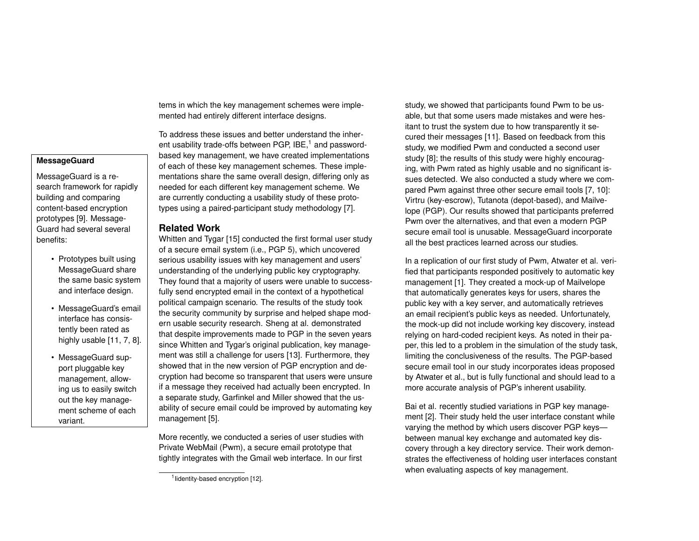tems in which the key management schemes were implemented had entirely different interface designs.

To address these issues and better understand the inherent usability trade-offs between PGP,  $IBE<sub>1</sub><sup>1</sup>$  $IBE<sub>1</sub><sup>1</sup>$  $IBE<sub>1</sub><sup>1</sup>$  and passwordbased key management, we have created implementations of each of these key management schemes. These implementations share the same overall design, differing only as needed for each different key management scheme. We are currently conducting a usability study of these prototypes using a paired-participant study methodology [\[7\]](#page-4-1).

# **Related Work**

Whitten and Tygar [\[15\]](#page-4-0) conducted the first formal user study of a secure email system (i.e., PGP 5), which uncovered serious usability issues with key management and users' understanding of the underlying public key cryptography. They found that a majority of users were unable to successfully send encrypted email in the context of a hypothetical political campaign scenario. The results of the study took the security community by surprise and helped shape modern usable security research. Sheng at al. demonstrated that despite improvements made to PGP in the seven years since Whitten and Tygar's original publication, key management was still a challenge for users [\[13\]](#page-4-5). Furthermore, they showed that in the new version of PGP encryption and decryption had become so transparent that users were unsure if a message they received had actually been encrypted. In a separate study, Garfinkel and Miller showed that the usability of secure email could be improved by automating key management [\[5\]](#page-4-6).

More recently, we conducted a series of user studies with Private WebMail (Pwm), a secure email prototype that tightly integrates with the Gmail web interface. In our first

study, we showed that participants found Pwm to be usable, but that some users made mistakes and were hesitant to trust the system due to how transparently it secured their messages [\[11\]](#page-4-3). Based on feedback from this study, we modified Pwm and conducted a second user study [\[8\]](#page-4-4); the results of this study were highly encouraging, with Pwm rated as highly usable and no significant issues detected. We also conducted a study where we compared Pwm against three other secure email tools [\[7,](#page-4-1) [10\]](#page-4-8): Virtru (key-escrow), Tutanota (depot-based), and Mailvelope (PGP). Our results showed that participants preferred Pwm over the alternatives, and that even a modern PGP secure email tool is unusable. MessageGuard incorporate all the best practices learned across our studies.

In a replication of our first study of Pwm, Atwater et al. verified that participants responded positively to automatic key management [\[1\]](#page-4-9). They created a mock-up of Mailvelope that automatically generates keys for users, shares the public key with a key server, and automatically retrieves an email recipient's public keys as needed. Unfortunately, the mock-up did not include working key discovery, instead relying on hard-coded recipient keys. As noted in their paper, this led to a problem in the simulation of the study task, limiting the conclusiveness of the results. The PGP-based secure email tool in our study incorporates ideas proposed by Atwater et al., but is fully functional and should lead to a more accurate analysis of PGP's inherent usability.

Bai et al. recently studied variations in PGP key management [\[2\]](#page-4-10). Their study held the user interface constant while varying the method by which users discover PGP keys between manual key exchange and automated key discovery through a key directory service. Their work demonstrates the effectiveness of holding user interfaces constant when evaluating aspects of key management.

# **MessageGuard**

MessageGuard is a research framework for rapidly building and comparing content-based encryption prototypes [\[9\]](#page-4-2). Message-Guard had several several benefits:

- Prototypes built using MessageGuard share the same basic system and interface design.
- MessageGuard's email interface has consistently been rated as highly usable [\[11,](#page-4-3) [7,](#page-4-1) [8\]](#page-4-4).
- MessageGuard support pluggable key management, allowing us to easily switch out the key management scheme of each variant.

<span id="page-1-0"></span><sup>&</sup>lt;sup>1</sup> lidentity-based encryption [\[12\]](#page-4-7).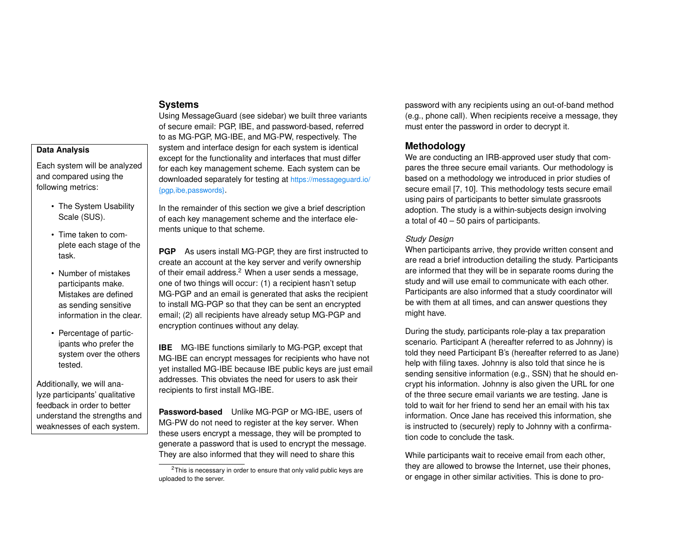### **Systems**

Using MessageGuard (see sidebar) we built three variants of secure email: PGP, IBE, and password-based, referred to as MG-PGP, MG-IBE, and MG-PW, respectively. The system and interface design for each system is identical except for the functionality and interfaces that must differ for each key management scheme. Each system can be downloaded separately for testing at [https://messageguard.io/](https://messageguard.io/{pgp,ibe,passwords}) [{pgp,ibe,passwords}](https://messageguard.io/{pgp,ibe,passwords}).

In the remainder of this section we give a brief description of each key management scheme and the interface elements unique to that scheme.

**PGP** As users install MG-PGP, they are first instructed to create an account at the key server and verify ownership of their email address.<sup>[2](#page-2-0)</sup> When a user sends a message, one of two things will occur: (1) a recipient hasn't setup MG-PGP and an email is generated that asks the recipient to install MG-PGP so that they can be sent an encrypted email; (2) all recipients have already setup MG-PGP and encryption continues without any delay.

**IBE** MG-IBE functions similarly to MG-PGP, except that MG-IBE can encrypt messages for recipients who have not yet installed MG-IBE because IBE public keys are just email addresses. This obviates the need for users to ask their recipients to first install MG-IBE.

**Password-based** Unlike MG-PGP or MG-IBE, users of MG-PW do not need to register at the key server. When these users encrypt a message, they will be prompted to generate a password that is used to encrypt the message. They are also informed that they will need to share this

password with any recipients using an out-of-band method (e.g., phone call). When recipients receive a message, they must enter the password in order to decrypt it.

# **Methodology**

We are conducting an IRB-approved user study that compares the three secure email variants. Our methodology is based on a methodology we introduced in prior studies of secure email [\[7,](#page-4-1) [10\]](#page-4-8). This methodology tests secure email using pairs of participants to better simulate grassroots adoption. The study is a within-subjects design involving a total of 40 – 50 pairs of participants.

## *Study Design*

When participants arrive, they provide written consent and are read a brief introduction detailing the study. Participants are informed that they will be in separate rooms during the study and will use email to communicate with each other. Participants are also informed that a study coordinator will be with them at all times, and can answer questions they might have.

During the study, participants role-play a tax preparation scenario. Participant A (hereafter referred to as Johnny) is told they need Participant B's (hereafter referred to as Jane) help with filing taxes. Johnny is also told that since he is sending sensitive information (e.g., SSN) that he should encrypt his information. Johnny is also given the URL for one of the three secure email variants we are testing. Jane is told to wait for her friend to send her an email with his tax information. Once Jane has received this information, she is instructed to (securely) reply to Johnny with a confirmation code to conclude the task.

While participants wait to receive email from each other, they are allowed to browse the Internet, use their phones, or engage in other similar activities. This is done to pro-

## **Data Analysis**

Each system will be analyzed and compared using the following metrics:

- The System Usability Scale (SUS).
- Time taken to complete each stage of the task.
- Number of mistakes participants make. Mistakes are defined as sending sensitive information in the clear.
- Percentage of participants who prefer the system over the others tested.

Additionally, we will analyze participants' qualitative feedback in order to better understand the strengths and weaknesses of each system.

<span id="page-2-0"></span> $2$ This is necessary in order to ensure that only valid public keys are uploaded to the server.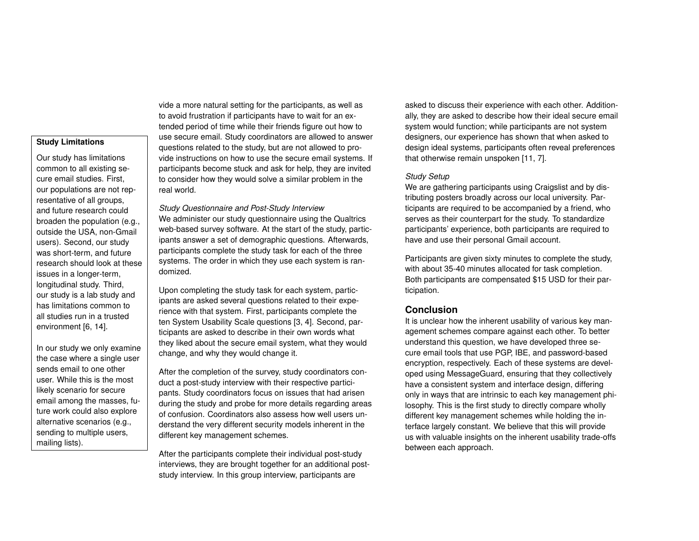# **Study Limitations**

Our study has limitations common to all existing secure email studies. First, our populations are not representative of all groups, and future research could broaden the population (e.g., outside the USA, non-Gmail users). Second, our study was short-term, and future research should look at these issues in a longer-term, longitudinal study. Third, our study is a lab study and has limitations common to all studies run in a trusted environment [\[6,](#page-4-11) [14\]](#page-4-12).

In our study we only examine the case where a single user sends email to one other user. While this is the most likely scenario for secure email among the masses, future work could also explore alternative scenarios (e.g., sending to multiple users, mailing lists).

vide a more natural setting for the participants, as well as to avoid frustration if participants have to wait for an extended period of time while their friends figure out how to use secure email. Study coordinators are allowed to answer questions related to the study, but are not allowed to provide instructions on how to use the secure email systems. If participants become stuck and ask for help, they are invited to consider how they would solve a similar problem in the real world.

*Study Questionnaire and Post-Study Interview* We administer our study questionnaire using the Qualtrics web-based survey software. At the start of the study, participants answer a set of demographic questions. Afterwards, participants complete the study task for each of the three systems. The order in which they use each system is randomized.

Upon completing the study task for each system, participants are asked several questions related to their experience with that system. First, participants complete the ten System Usability Scale questions [\[3,](#page-4-13) [4\]](#page-4-14). Second, participants are asked to describe in their own words what they liked about the secure email system, what they would change, and why they would change it.

After the completion of the survey, study coordinators conduct a post-study interview with their respective participants. Study coordinators focus on issues that had arisen during the study and probe for more details regarding areas of confusion. Coordinators also assess how well users understand the very different security models inherent in the different key management schemes.

After the participants complete their individual post-study interviews, they are brought together for an additional poststudy interview. In this group interview, participants are

asked to discuss their experience with each other. Additionally, they are asked to describe how their ideal secure email system would function; while participants are not system designers, our experience has shown that when asked to design ideal systems, participants often reveal preferences that otherwise remain unspoken [\[11,](#page-4-3) [7\]](#page-4-1).

#### *Study Setup*

We are gathering participants using Craigslist and by distributing posters broadly across our local university. Participants are required to be accompanied by a friend, who serves as their counterpart for the study. To standardize participants' experience, both participants are required to have and use their personal Gmail account.

Participants are given sixty minutes to complete the study, with about 35-40 minutes allocated for task completion. Both participants are compensated \$15 USD for their participation.

# **Conclusion**

It is unclear how the inherent usability of various key management schemes compare against each other. To better understand this question, we have developed three secure email tools that use PGP, IBE, and password-based encryption, respectively. Each of these systems are developed using MessageGuard, ensuring that they collectively have a consistent system and interface design, differing only in ways that are intrinsic to each key management philosophy. This is the first study to directly compare wholly different key management schemes while holding the interface largely constant. We believe that this will provide us with valuable insights on the inherent usability trade-offs between each approach.